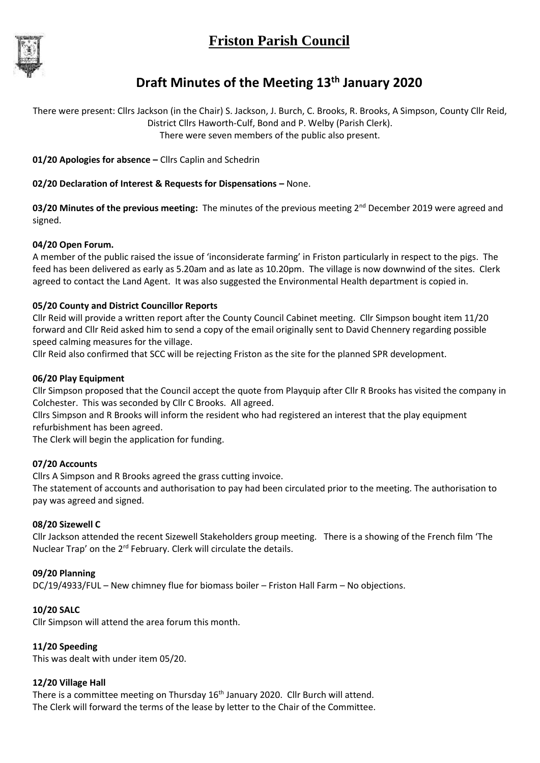# **Friston Parish Council**



## **Draft Minutes of the Meeting 13th January 2020**

There were present: Cllrs Jackson (in the Chair) S. Jackson, J. Burch, C. Brooks, R. Brooks, A Simpson, County Cllr Reid, District Cllrs Haworth-Culf, Bond and P. Welby (Parish Clerk). There were seven members of the public also present.

**01/20 Apologies for absence –** Cllrs Caplin and Schedrin

## **02/20 Declaration of Interest & Requests for Dispensations –** None.

03/20 Minutes of the previous meeting: The minutes of the previous meeting 2<sup>nd</sup> December 2019 were agreed and signed.

#### **04/20 Open Forum.**

A member of the public raised the issue of 'inconsiderate farming' in Friston particularly in respect to the pigs. The feed has been delivered as early as 5.20am and as late as 10.20pm. The village is now downwind of the sites. Clerk agreed to contact the Land Agent. It was also suggested the Environmental Health department is copied in.

## **05/20 County and District Councillor Reports**

Cllr Reid will provide a written report after the County Council Cabinet meeting. Cllr Simpson bought item 11/20 forward and Cllr Reid asked him to send a copy of the email originally sent to David Chennery regarding possible speed calming measures for the village.

Cllr Reid also confirmed that SCC will be rejecting Friston as the site for the planned SPR development.

## **06/20 Play Equipment**

Cllr Simpson proposed that the Council accept the quote from Playquip after Cllr R Brooks has visited the company in Colchester. This was seconded by Cllr C Brooks. All agreed.

Cllrs Simpson and R Brooks will inform the resident who had registered an interest that the play equipment refurbishment has been agreed.

The Clerk will begin the application for funding.

#### **07/20 Accounts**

Cllrs A Simpson and R Brooks agreed the grass cutting invoice.

The statement of accounts and authorisation to pay had been circulated prior to the meeting. The authorisation to pay was agreed and signed.

#### **08/20 Sizewell C**

Cllr Jackson attended the recent Sizewell Stakeholders group meeting. There is a showing of the French film 'The Nuclear Trap' on the 2rd February. Clerk will circulate the details.

#### **09/20 Planning**

DC/19/4933/FUL – New chimney flue for biomass boiler – Friston Hall Farm – No objections.

#### **10/20 SALC**

Cllr Simpson will attend the area forum this month.

#### **11/20 Speeding**

This was dealt with under item 05/20.

#### **12/20 Village Hall**

There is a committee meeting on Thursday 16<sup>th</sup> January 2020. Cllr Burch will attend. The Clerk will forward the terms of the lease by letter to the Chair of the Committee.